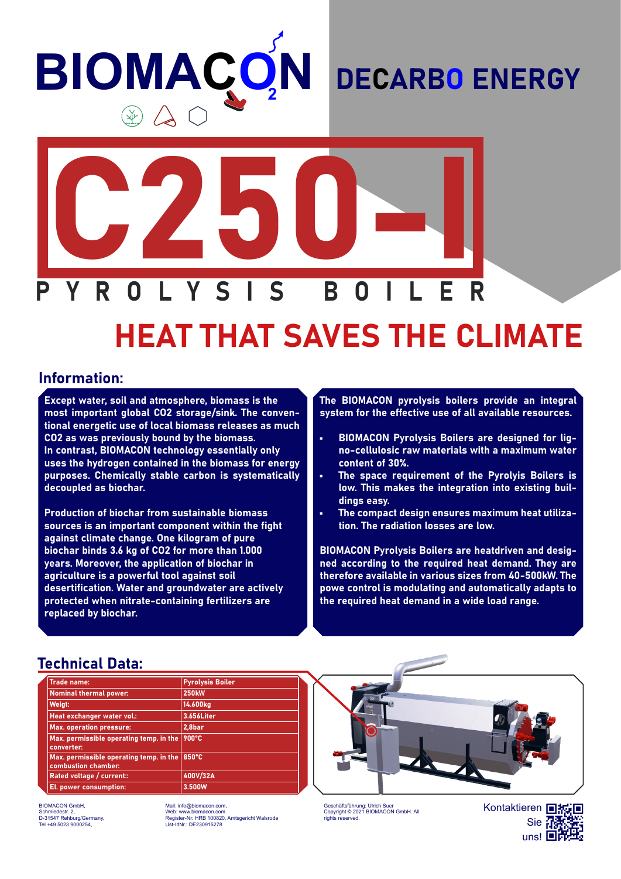## **BIOMACC N**  $\circledast \Delta C$

### DECARBO ENERGY



# HEAT THAT SAVES THE CLIMATE

#### Information:

Except water, soil and atmosphere, biomass is the most important global CO2 storage/sink. The conventional energetic use of local biomass releases as much CO2 as was previously bound by the biomass. In contrast, BIOMACON technology essentially only uses the hydrogen contained in the biomass for energy purposes. Chemically stable carbon is systematically decoupled as biochar.

Production of biochar from sustainable biomass sources is an important component within the fight against climate change. One kilogram of pure biochar binds 3.6 kg of CO2 for more than 1.000 years. Moreover, the application of biochar in agriculture is a powerful tool against soil desertification. Water and groundwater are actively protected when nitrate-containing fertilizers are replaced by biochar.

The BIOMACON pyrolysis boilers provide an integral system for the effective use of all available resources.

- BIOMACON Pyrolysis Boilers are designed for ligno-cellulosic raw materials with a maximum water content of 30%.
- The space requirement of the Pyrolyis Boilers is low. This makes the integration into existing buildings easy.
- The compact design ensures maximum heat utilization. The radiation losses are low.

BIOMACON Pyrolysis Boilers are heatdriven and designed according to the required heat demand. They are therefore available in various sizes from 40-500kW. The powe control is modulating and automatically adapts to the required heat demand in a wide load range.

#### Technical Data:

| <b>Trade name:</b>                                             | <b>Pyrolysis Boiler</b> |
|----------------------------------------------------------------|-------------------------|
| <b>Nominal thermal power:</b>                                  | <b>250kW</b>            |
| Weigt:                                                         | 14.600kg                |
| Heat exchanger water vol.:                                     | 3.656Liter              |
| <b>Max. operation pressure:</b>                                | 2,8bar                  |
| Max. permissible operating temp. in the<br>converter:          | 900°C                   |
| Max. permissible operating temp. in the<br>combustion chamber: | 850°C                   |
| Rated voltage / current::                                      | 400V/32A                |
| El. power consumption:                                         | 3.500W                  |

BIOMACON GmbH, Schmiedestr. 2, D-31547 Rehburg/Germany, Tel +49 5023 9000254,

Mail: info@biomacon.com, Web: www.biomacon.com Register-Nr: HRB 100820, Amtsgericht Walsrode Ust-IdNr.: DE230915278



Geschäftsführung: Ulrich Suer Copyright © 2021 BIOMACON GmbH. All rights reserved.

Kontaktieren **回板回** Sie **Na** uns! **⊡i**